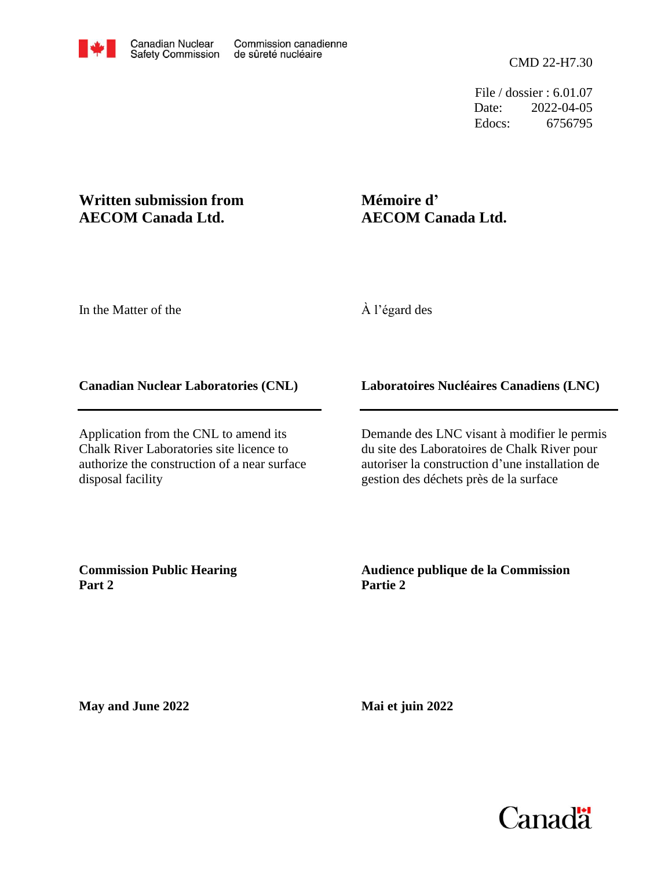Date: Edocs: 6756795 2022-04-05 File / dossier : 6.01.07

# **AECOM Canada Ltd. Written submission from**

# **AECOM Canada Ltd. Mémoire d'**

In the Matter of the

À l'égard des

## **Canadian Nuclear Laboratories (CNL)**

Application from the CNL to amend its Chalk River Laboratories site licence to authorize the construction of a near surface disposal facility

## **Laboratoires Nucléaires Canadiens (LNC)**

Demande des LNC visant à modifier le permis du site des Laboratoires de Chalk River pour autoriser la construction d'une installation de gestion des déchets près de la surface

**Commission Public Hearing Part 2**

### **Audience publique de la Commission Partie 2**

**May and June 2022**

**Mai et juin 2022**

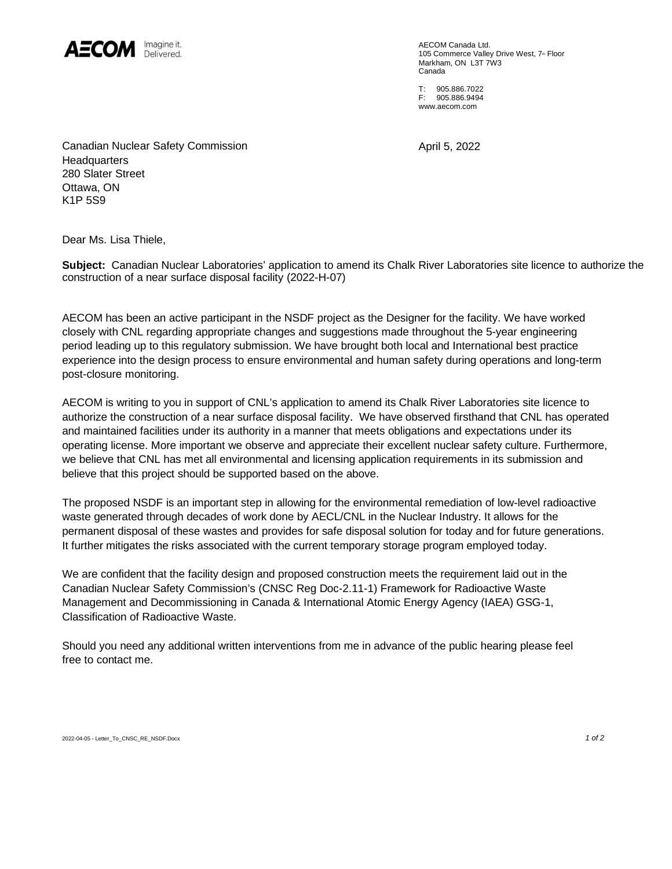

AECOM Canada Ltd. 105 Commerce Valley Drive West, 7th Floor Markham, ON L3T 7W3 Canada

T: 905.886.7022 F: 905.886.9494 [www.aecom.com](http://www.aecom.com) 

April 5, 2022

Canadian Nuclear Safety Commission **Headquarters** 280 Slater Street Ottawa, ON K1P 5S9

Dear Ms. Lisa Thiele,

**Subject:** Canadian Nuclear Laboratories' application to amend its Chalk River Laboratories site licence to authorize the construction of a near surface disposal facility (2022-H-07)

AECOM has been an active participant in the NSDF project as the Designer for the facility. We have worked closely with CNL regarding appropriate changes and suggestions made throughout the 5-year engineering period leading up to this regulatory submission. We have brought both local and International best practice experience into the design process to ensure environmental and human safety during operations and long-term post-closure monitoring.

AECOM is writing to you in support of CNL's application to amend its Chalk River Laboratories site licence to authorize the construction of a near surface disposal facility. We have observed firsthand that CNL has operated and maintained facilities under its authority in a manner that meets obligations and expectations under its operating license. More important we observe and appreciate their excellent nuclear safety culture. Furthermore, we believe that CNL has met all environmental and licensing application requirements in its submission and believe that this project should be supported based on the above.

The proposed NSDF is an important step in allowing for the environmental remediation of low-level radioactive waste generated through decades of work done by AECL/CNL in the Nuclear Industry. It allows for the permanent disposal of these wastes and provides for safe disposal solution for today and for future generations. It further mitigates the risks associated with the current temporary storage program employed today.

We are confident that the facility design and proposed construction meets the requirement laid out in the Canadian Nuclear Safety Commission's (CNSC Reg Doc-2.11-1) Framework for Radioactive Waste Management and Decommissioning in Canada & International Atomic Energy Agency (IAEA) GSG-1, Classification of Radioactive Waste.

Should you need any additional written interventions from me in advance of the public hearing please feel free to contact me.